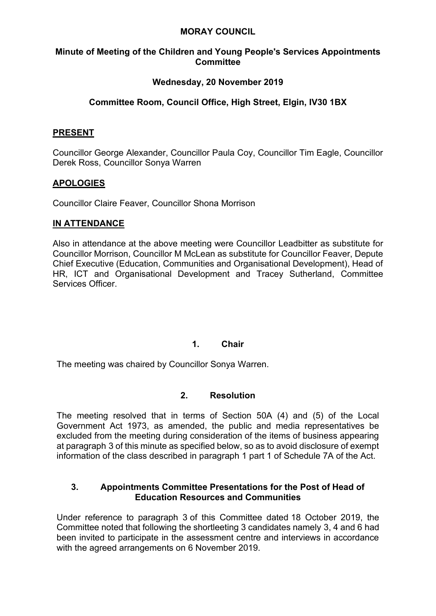### **MORAY COUNCIL**

### **Minute of Meeting of the Children and Young People's Services Appointments Committee**

## **Wednesday, 20 November 2019**

# **Committee Room, Council Office, High Street, Elgin, IV30 1BX**

### **PRESENT**

Councillor George Alexander, Councillor Paula Coy, Councillor Tim Eagle, Councillor Derek Ross, Councillor Sonya Warren

## **APOLOGIES**

Councillor Claire Feaver, Councillor Shona Morrison

### **IN ATTENDANCE**

Also in attendance at the above meeting were Councillor Leadbitter as substitute for Councillor Morrison, Councillor M McLean as substitute for Councillor Feaver, Depute Chief Executive (Education, Communities and Organisational Development), Head of HR, ICT and Organisational Development and Tracey Sutherland, Committee Services Officer.

### **1. Chair**

The meeting was chaired by Councillor Sonya Warren.

### **2. Resolution**

The meeting resolved that in terms of Section 50A (4) and (5) of the Local Government Act 1973, as amended, the public and media representatives be excluded from the meeting during consideration of the items of business appearing at paragraph 3 of this minute as specified below, so as to avoid disclosure of exempt information of the class described in paragraph 1 part 1 of Schedule 7A of the Act.

#### **3. Appointments Committee Presentations for the Post of Head of Education Resources and Communities**

Under reference to paragraph 3 of this Committee dated 18 October 2019, the Committee noted that following the shortleeting 3 candidates namely 3, 4 and 6 had been invited to participate in the assessment centre and interviews in accordance with the agreed arrangements on 6 November 2019.